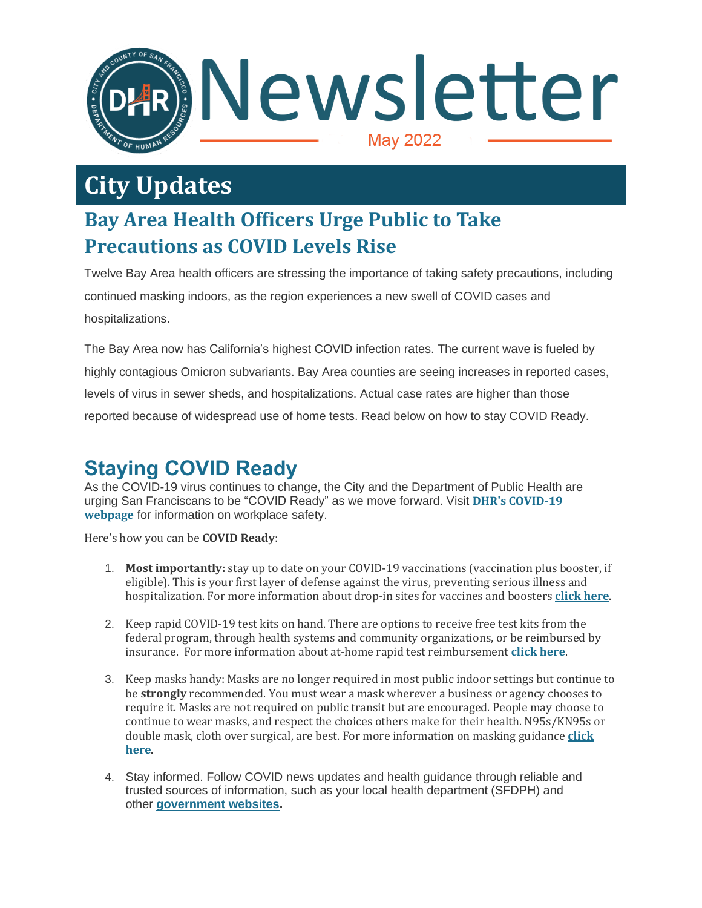

# **City Updates**

### **Bay Area Health Officers Urge Public to Take Precautions as COVID Levels Rise**

Twelve Bay Area health officers are stressing the importance of taking safety precautions, including continued masking indoors, as the region experiences a new swell of COVID cases and hospitalizations.

The Bay Area now has California's highest COVID infection rates. The current wave is fueled by highly contagious Omicron subvariants. Bay Area counties are seeing increases in reported cases, levels of virus in sewer sheds, and hospitalizations. Actual case rates are higher than those reported because of widespread use of home tests. Read below on how to stay COVID Ready.

### **Staying COVID Ready**

As the COVID-19 virus continues to change, the City and the Department of Public Health are urging San Franciscans to be "COVID Ready" as we move forward. Visit **DHR's [COVID-19](https://t.e2ma.net/click/hcuene/pu94qki/hkkgst) [webpage](https://t.e2ma.net/click/hcuene/pu94qki/hkkgst)** for information on workplace safety.

Here's how you can be **COVID Ready**:

- 1. **Most importantly:** stay up to date on your COVID-19 vaccinations (vaccination plus booster, if eligible). This is your first layer of defense against the virus, preventing serious illness and hospitalization. For more information about drop-in sites for vaccines and boosters **[click](https://t.e2ma.net/click/hcuene/pu94qki/xclgst) here**.
- 2. Keep rapid COVID-19 test kits on hand. There are options to receive free test kits from the federal program, through health systems and community organizations, or be reimbursed by insurance. For more information about at-home rapid test reimbursement **[click](https://t.e2ma.net/click/hcuene/pu94qki/d5lgst) here**.
- 3. Keep masks handy: Masks are no longer required in most public indoor settings but continue to be **strongly** recommended. You must wear a mask wherever a business or agency chooses to require it. Masks are not required on public transit but are encouraged. People may choose to continue to wear masks, and respect the choices others make for their health. N95s/KN95s or double mask, cloth over surgical, are best. For more information on masking guidance **[click](https://t.e2ma.net/click/hcuene/pu94qki/txmgst) [here](https://t.e2ma.net/click/hcuene/pu94qki/txmgst)**.
- 4. Stay informed. Follow COVID news updates and health guidance through reliable and trusted sources of information, such as your local health department (SFDPH) and other **[government](https://t.e2ma.net/click/hcuene/pu94qki/9pngst) websites.**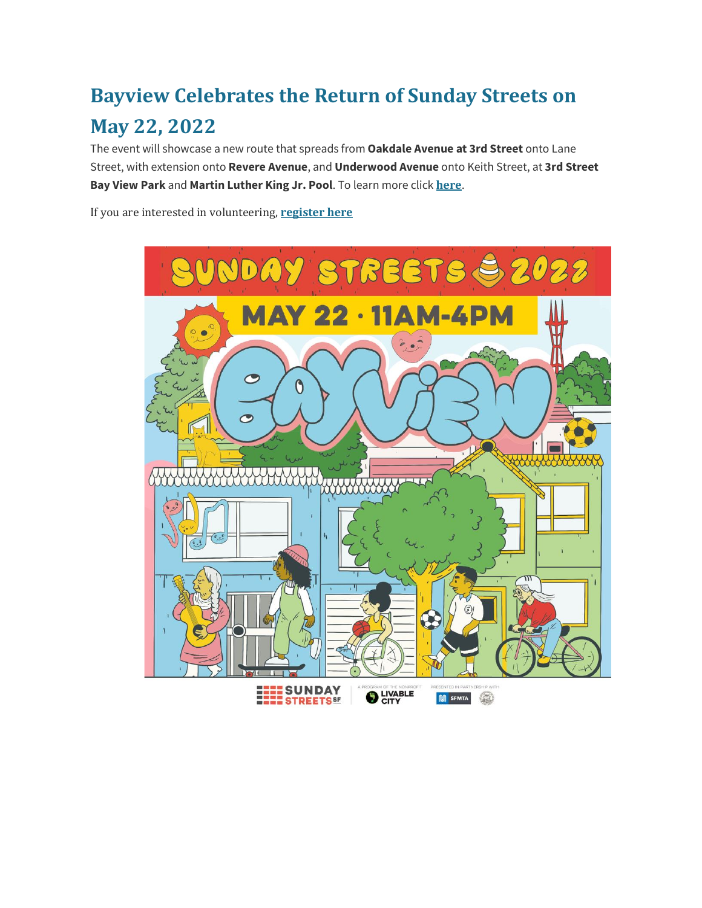## **Bayview Celebrates the Return of Sunday Streets on May 22, 2022**

The event will showcase a new route that spreads from **Oakdale Avenue at 3rd Street** onto Lane Street, with extension onto **Revere Avenue**, and **Underwood Avenue** onto Keith Street, at **3rd Street Bay View Park** and **Martin Luther King Jr. Pool**. To learn more click **[here](https://t.e2ma.net/click/hcuene/pu94qki/piogst)**.

If you are interested in volunteering, **[register](https://t.e2ma.net/click/hcuene/pu94qki/5apgst) here**

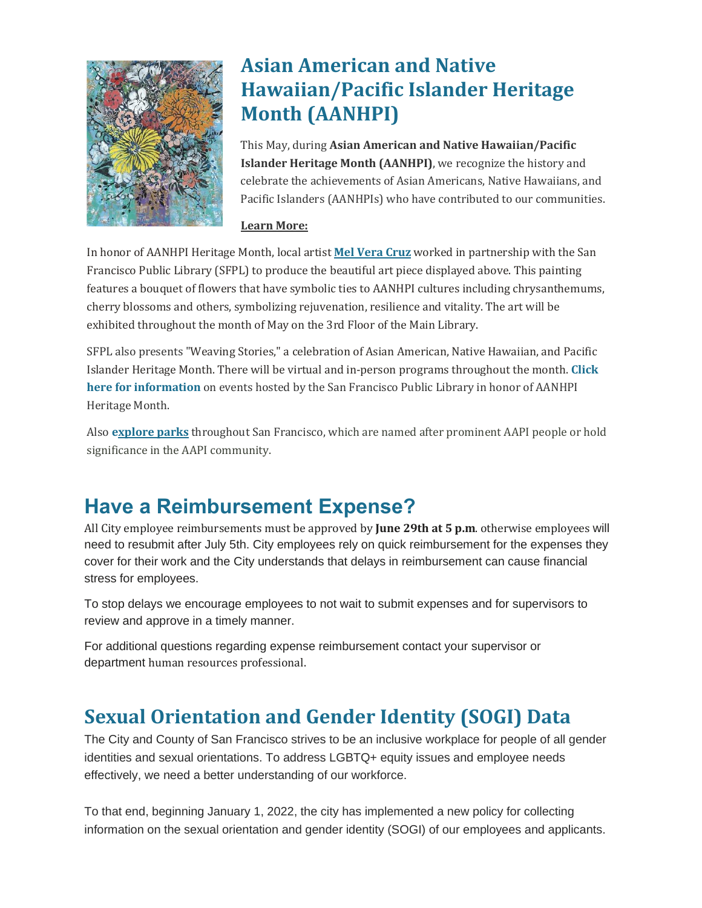

### **Asian American and Native Hawaiian/Pacific Islander Heritage Month (AANHPI)**

This May, during **Asian American and Native Hawaiian/Pacific Islander Heritage Month (AANHPI)**, we recognize the history and celebrate the achievements of Asian Americans, Native Hawaiians, and Pacific Islanders (AANHPIs) who have contributed to our communities.

#### **Learn More:**

In honor of AANHPI Heritage Month, local artist **Mel [Vera](https://t.e2ma.net/click/hcuene/pu94qki/horgst) Cruz** worked in partnership with the San Francisco Public Library (SFPL) to produce the beautiful art piece displayed above. This painting features a bouquet of flowers that have symbolic ties to AANHPI cultures including chrysanthemums, cherry blossoms and others, symbolizing rejuvenation, resilience and vitality. The art will be exhibited throughout the month of May on the 3rd Floor of the Main Library.

SFPL also presents "Weaving Stories," a celebration of Asian American, Native Hawaiian, and Pacific Islander Heritage Month. There will be virtual and in-person programs throughout the month. **[Click](https://t.e2ma.net/click/hcuene/pu94qki/xgsgst) here for [information](https://t.e2ma.net/click/hcuene/pu94qki/xgsgst)** on events hosted by the San Francisco Public Library in honor of AANHPI Heritage Month.

Also **[explore](https://t.e2ma.net/click/hcuene/pu94qki/d9sgst) parks** throughout San Francisco, which are named after prominent AAPI people or hold significance in the AAPI community.

### **Have a Reimbursement Expense?**

All City employee reimbursements must be approved by **June 29th at 5 p.m**. otherwise employees will need to resubmit after July 5th. City employees rely on quick reimbursement for the expenses they cover for their work and the City understands that delays in reimbursement can cause financial stress for employees.

To stop delays we encourage employees to not wait to submit expenses and for supervisors to review and approve in a timely manner.

For additional questions regarding expense reimbursement contact your supervisor or department human resources professional.

#### **Sexual Orientation and Gender Identity (SOGI) Data**

The City and County of San Francisco strives to be an inclusive workplace for people of all gender identities and sexual orientations. To address LGBTQ+ equity issues and employee needs effectively, we need a better understanding of our workforce.

To that end, beginning January 1, 2022, the city has implemented a new policy for collecting information on the sexual orientation and gender identity (SOGI) of our employees and applicants.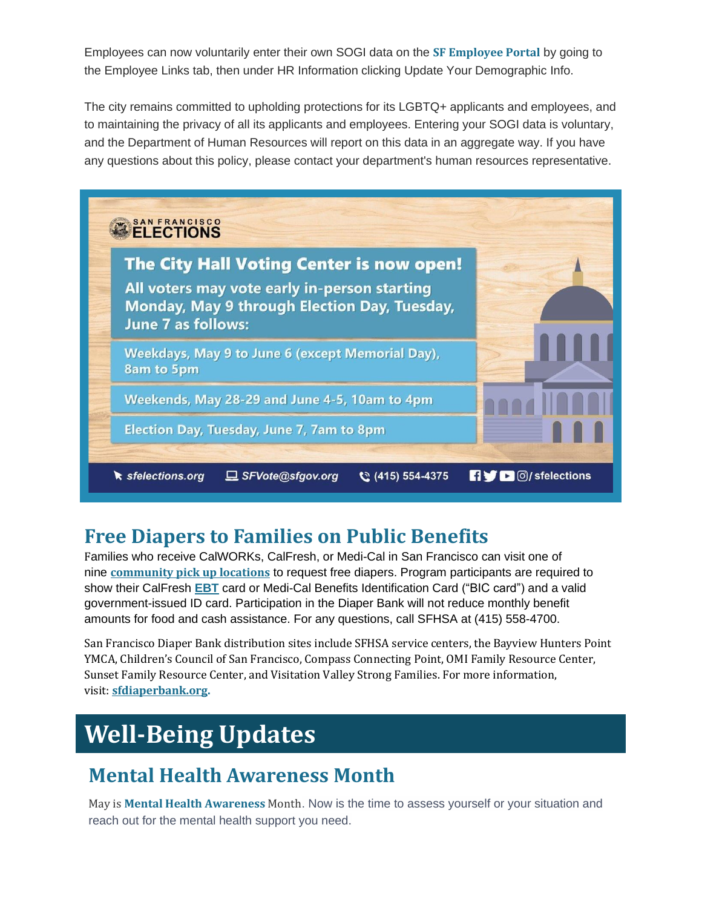Employees can now voluntarily enter their own SOGI data on the **SF [Employee](https://t.e2ma.net/click/hcuene/pu94qki/t1tgst) Portal** by going to the Employee Links tab, then under HR Information clicking Update Your Demographic Info.

The city remains committed to upholding protections for its LGBTQ+ applicants and employees, and to maintaining the privacy of all its applicants and employees. Entering your SOGI data is voluntary, and the Department of Human Resources will report on this data in an aggregate way. If you have any questions about this policy, please contact your department's human resources representative.



#### **Free Diapers to Families on Public Benefits**

Families who receive CalWORKs, CalFresh, or Medi-Cal in San Francisco can visit one of nine **[community](https://t.e2ma.net/click/hcuene/pu94qki/9tugst) pick up locations** to request free diapers. Program participants are required to show their CalFresh **[EBT](https://t.e2ma.net/click/hcuene/pu94qki/pmvgst)** card or Medi-Cal Benefits Identification Card ("BIC card") and a valid government-issued ID card. Participation in the Diaper Bank will not reduce monthly benefit amounts for food and cash assistance. For any questions, call SFHSA at (415) 558-4700.

San Francisco Diaper Bank distribution sites include SFHSA service centers, the Bayview Hunters Point YMCA, Children's Council of San Francisco, Compass Connecting Point, OMI Family Resource Center, Sunset Family Resource Center, and Visitation Valley Strong Families. For more information, visit: **[sfdiaperbank.org.](https://t.e2ma.net/click/hcuene/pu94qki/5ewgst)**

# **Well-Being Updates**

#### **Mental Health Awareness Month**

May is **Mental Health [Awareness](https://t.e2ma.net/click/hcuene/pu94qki/l7wgst)** Month. Now is the time to assess yourself or your situation and reach out for the mental health support you need.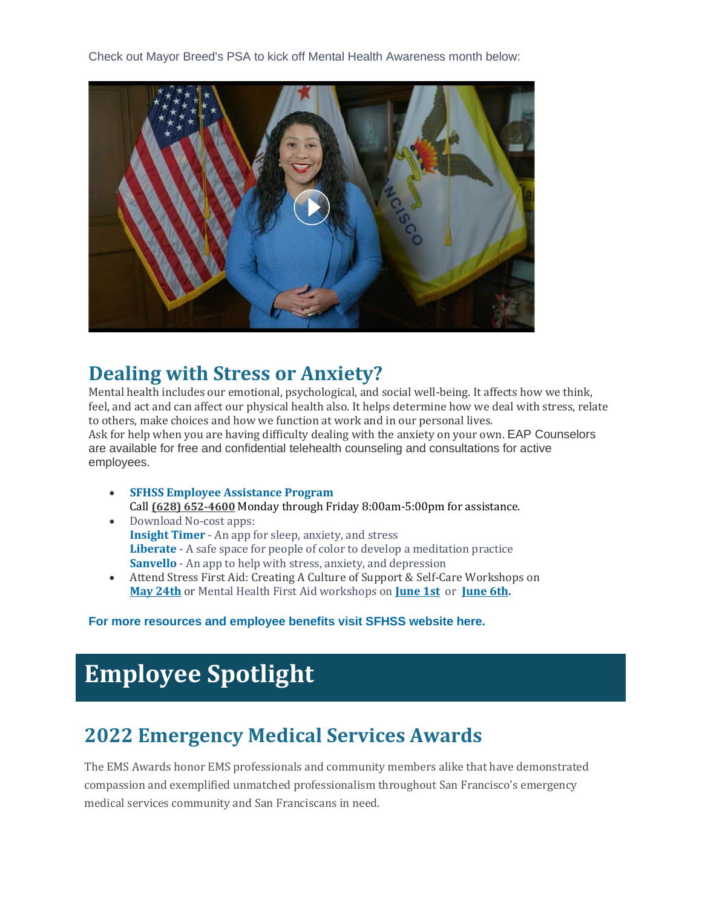Check out Mayor Breed's PSA to kick off Mental Health Awareness month below:



#### **Dealing with Stress or Anxiety?**

Mental health includes our emotional, psychological, and social well-being. It affects how we think, feel, and act and can affect our physical health also. It helps determine how we deal with stress, relate to others, make choices and how we function at work and in our personal lives. Ask for help when you are having difficulty dealing with the anxiety on your own. EAP Counselors are available for free and confidential telehealth counseling and consultations for active employees.

- **SFHSS Employee [Assistance](https://t.e2ma.net/click/hcuene/pu94qki/hsygst) Program** Call **(628) [652-4600](https://t.e2ma.net/click/hcuene/pu94qki/xkzgst)** Monday through Friday 8:00am-5:00pm for assistance.
- Download No-cost apps: **[Insight](https://t.e2ma.net/click/hcuene/pu94qki/dd0gst) Timer** - An app for sleep, anxiety, and stress **[Liberate](https://t.e2ma.net/click/hcuene/pu94qki/t50gst)** - A safe space for people of color to develop a meditation practice **[Sanvello](https://t.e2ma.net/click/hcuene/pu94qki/9x1gst)** - An app to help with stress, anxiety, and depression
- Attend Stress First Aid: Creating A Culture of Support & Self-Care Workshops on **May [24th](https://t.e2ma.net/click/hcuene/pu94qki/pq2gst)** or Mental Health First Aid workshops on **[June](https://t.e2ma.net/click/hcuene/pu94qki/5i3gst) 1st** or **[June](https://t.e2ma.net/click/hcuene/pu94qki/lb4gst) 6th.**

**For more resources and employee benefits visit SFHSS website here.**

# **Employee Spotlight**

### **2022 Emergency Medical Services Awards**

The EMS Awards honor EMS professionals and community members alike that have demonstrated compassion and exemplified unmatched professionalism throughout San Francisco's emergency medical services community and San Franciscans in need.